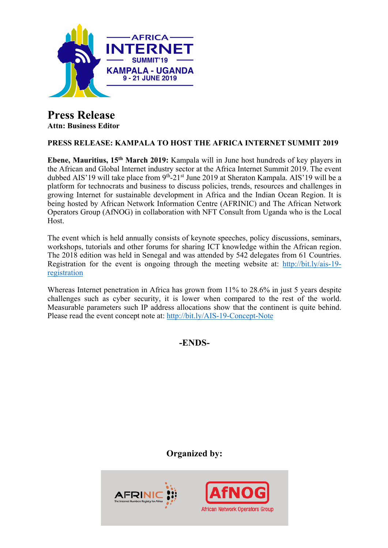

## **Press Release Attn: Business Editor**

# **PRESS RELEASE: KAMPALA TO HOST THE AFRICA INTERNET SUMMIT 2019**

**Ebene, Mauritius, 15th March 2019:** Kampala will in June host hundreds of key players in the African and Global Internet industry sector at the Africa Internet Summit 2019. The event dubbed AIS'19 will take place from 9<sup>th</sup>-21<sup>st</sup> June 2019 at Sheraton Kampala. AIS'19 will be a platform for technocrats and business to discuss policies, trends, resources and challenges in growing Internet for sustainable development in Africa and the Indian Ocean Region. It is being hosted by African Network Information Centre (AFRINIC) and The African Network Operators Group (AfNOG) in collaboration with NFT Consult from Uganda who is the Local Host.

The event which is held annually consists of keynote speeches, policy discussions, seminars, workshops, tutorials and other forums for sharing ICT knowledge within the African region. The 2018 edition was held in Senegal and was attended by 542 delegates from 61 Countries. Registration for the event is ongoing through the meeting website at: http://bit.ly/ais-19 registration

Whereas Internet penetration in Africa has grown from 11% to 28.6% in just 5 years despite challenges such as cyber security, it is lower when compared to the rest of the world. Measurable parameters such IP address allocations show that the continent is quite behind. Please read the event concept note at: http://bit.ly/AIS-19-Concept-Note

**-ENDS-**

**Organized by:**